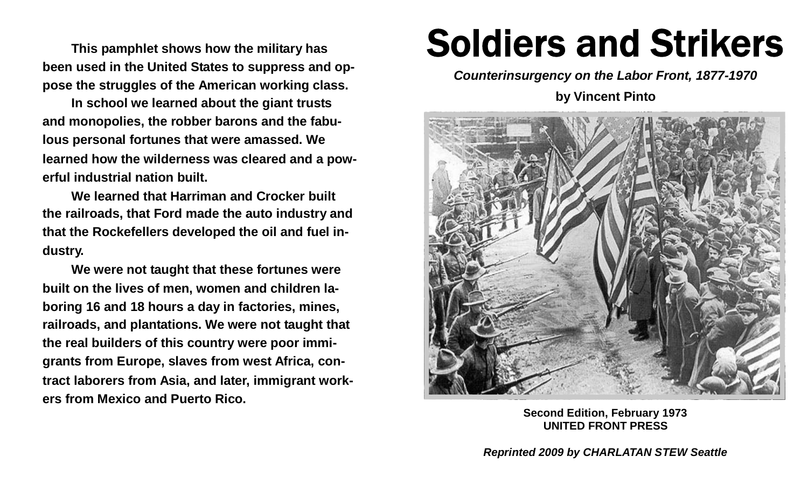**This pamphlet shows how the military has been used in the United States to suppress and oppose the struggles of the American working class.**

**In school we learned about the giant trusts and monopolies, the robber barons and the fabulous personal fortunes that were amassed. We learned how the wilderness was cleared and a powerful industrial nation built.**

**We learned that Harriman and Crocker built the railroads, that Ford made the auto industry and that the Rockefellers developed the oil and fuel industry.**

**We were not taught that these fortunes were built on the lives of men, women and children laboring 16 and 18 hours a day in factories, mines, railroads, and plantations. We were not taught that the real builders of this country were poor immigrants from Europe, slaves from west Africa, contract laborers from Asia, and later, immigrant workers from Mexico and Puerto Rico.**

# Soldiers and Strikers

*Counterinsurgency on the Labor Front, 1877-1970* **by Vincent Pinto**



**Second Edition, February 1973 UNITED FRONT PRESS**

*Reprinted 2009 by CHARLATAN STEW Seattle*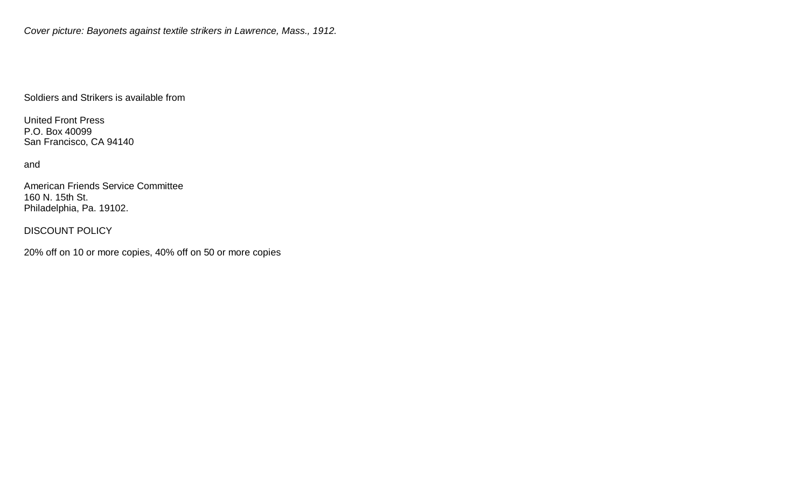*Cover picture: Bayonets against textile strikers in Lawrence, Mass., 1912.*

Soldiers and Strikers is available from

United Front Press P.O. Box 40099 San Francisco, CA 94140

and

American Friends Service Committee 160 N. 15th St. Philadelphia, Pa. 19102.

DISCOUNT POLICY

20% off on 10 or more copies, 40% off on 50 or more copies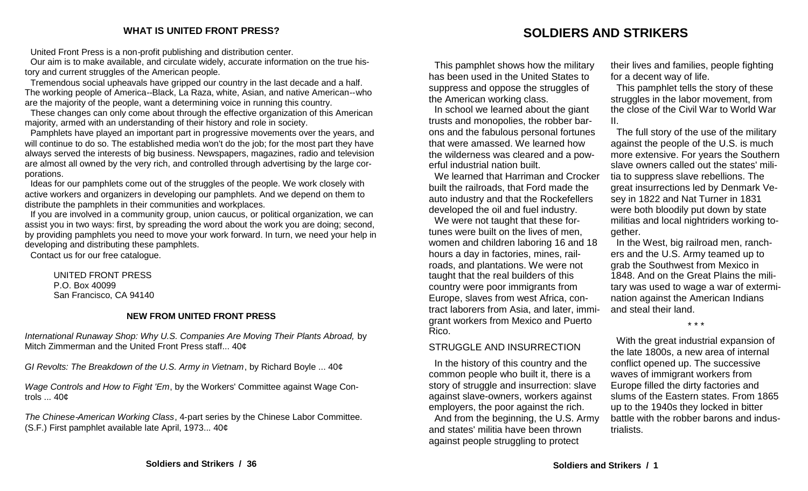United Front Press is a non-profit publishing and distribution center.

Our aim is to make available, and circulate widely, accurate information on the true history and current struggles of the American people.

Tremendous social upheavals have gripped our country in the last decade and a half. The working people of America--Black, La Raza, white, Asian, and native American--who are the majority of the people, want a determining voice in running this country.

These changes can only come about through the effective organization of this American majority, armed with an understanding of their history and role in society.

Pamphlets have played an important part in progressive movements over the years, and will continue to do so. The established media won't do the job; for the most part they have always served the interests of big business. Newspapers, magazines, radio and television are almost all owned by the very rich, and controlled through advertising by the large corporations.

Ideas for our pamphlets come out of the struggles of the people. We work closely with active workers and organizers in developing our pamphlets. And we depend on them to distribute the pamphlets in their communities and workplaces.

If you are involved in a community group, union caucus, or political organization, we can assist you in two ways: first, by spreading the word about the work you are doing; second, by providing pamphlets you need to move your work forward. In turn, we need your help in developing and distributing these pamphlets.

Contact us for our free catalogue.

UNITED FRONT PRESS P.O. Box 40099 San Francisco, CA 94140

## **NEW FROM UNITED FRONT PRESS**

*International Runaway Shop: Why U.S. Companies Are Moving Their Plants Abroad,* by Mitch Zimmerman and the United Front Press staff... 40¢

*GI Revolts: The Breakdown of the U.S. Army in Vietnam*, by Richard Boyle ... 40¢

*Wage Controls and How to Fight 'Em*, by the Workers' Committee against Wage Controls ... 40¢

*The Chinese-American Working Class*, 4-part series by the Chinese Labor Committee. (S.F.) First pamphlet available late April, 1973... 40¢

This pamphlet shows how the military has been used in the United States to suppress and oppose the struggles of the American working class.

In school we learned about the giant trusts and monopolies, the robber barons and the fabulous personal fortunes that were amassed. We learned how the wilderness was cleared and a powerful industrial nation built.

We learned that Harriman and Crocker built the railroads, that Ford made the auto industry and that the Rockefellers developed the oil and fuel industry.

We were not taught that these fortunes were built on the lives of men, women and children laboring 16 and 18 hours a day in factories, mines, railroads, and plantations. We were not taught that the real builders of this country were poor immigrants from Europe, slaves from west Africa, contract laborers from Asia, and later, immigrant workers from Mexico and Puerto Rico.

## STRUGGLE AND INSURRECTION

In the history of this country and the common people who built it, there is a story of struggle and insurrection: slave against slave-owners, workers against employers, the poor against the rich.

And from the beginning, the U.S. Army and states' militia have been thrown against people struggling to protect

their lives and families, people fighting for a decent way of life.

This pamphlet tells the story of these struggles in the labor movement, from the close of the Civil War to World War II.

The full story of the use of the military against the people of the U.S. is much more extensive. For years the Southern slave owners called out the states' militia to suppress slave rebellions. The great insurrections led by Denmark Vesey in 1822 and Nat Turner in 1831 were both bloodily put down by state militias and local nightriders working together.

In the West, big railroad men, ranchers and the U.S. Army teamed up to grab the Southwest from Mexico in 1848. And on the Great Plains the military was used to wage a war of extermination against the American Indians and steal their land.

\* \* \*

With the great industrial expansion of the late 1800s, a new area of internal conflict opened up. The successive waves of immigrant workers from Europe filled the dirty factories and slums of the Eastern states. From 1865 up to the 1940s they locked in bitter battle with the robber barons and industrialists.

**SOLDIERS AND STRIKERS**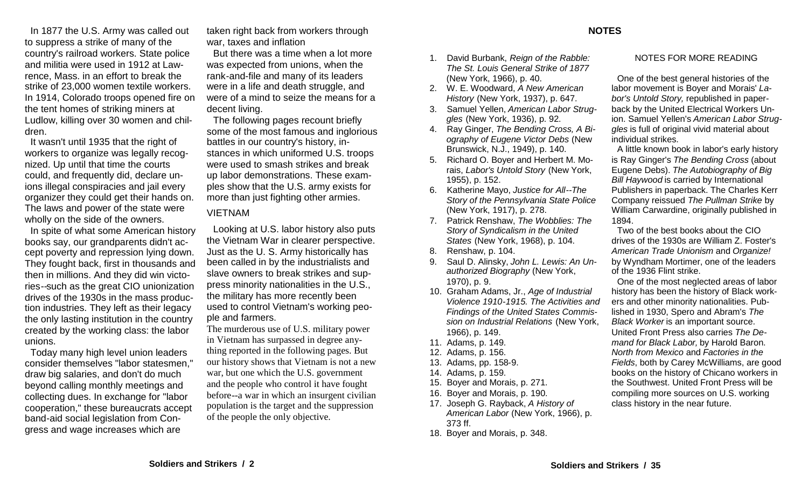In 1877 the U.S. Army was called out to suppress a strike of many of the country's railroad workers. State police and militia were used in 1912 at Lawrence, Mass. in an effort to break the strike of 23,000 women textile workers. In 1914, Colorado troops opened fire on the tent homes of striking miners at Ludlow, killing over 30 women and children.

It wasn't until 1935 that the right of workers to organize was legally recognized. Up until that time the courts could, and frequently did, declare unions illegal conspiracies and jail every organizer they could get their hands on. The laws and power of the state were wholly on the side of the owners.

In spite of what some American history books say, our grandparents didn't accept poverty and repression lying down. They fought back, first in thousands and then in millions. And they did win victories--such as the great CIO unionization drives of the 1930s in the mass production industries. They left as their legacy the only lasting institution in the country created by the working class: the labor unions.

Today many high level union leaders consider themselves "labor statesmen," draw big salaries, and don't do much beyond calling monthly meetings and collecting dues. In exchange for "labor cooperation," these bureaucrats accept band-aid social legislation from Congress and wage increases which are

taken right back from workers through war, taxes and inflation

But there was a time when a lot more was expected from unions, when the rank-and-file and many of its leaders were in a life and death struggle, and were of a mind to seize the means for a decent living.

The following pages recount briefly some of the most famous and inglorious battles in our country's history, instances in which uniformed U.S. troops were used to smash strikes and break up labor demonstrations. These examples show that the U.S. army exists for more than just fighting other armies.

#### VIETNAM

Looking at U.S. labor history also puts the Vietnam War in clearer perspective. Just as the U. S. Army historically has been called in by the industrialists and slave owners to break strikes and suppress minority nationalities in the U.S., the military has more recently been used to control Vietnam's working people and farmers.

The murderous use of U.S. military power in Vietnam has surpassed in degree anything reported in the following pages. But our history shows that Vietnam is not a new war, but one which the U.S. government and the people who control it have fought before--a war in which an insurgent civilian population is the target and the suppression of the people the only objective.

## **NOTES**

- 1. David Burbank, *Reign of the Rabble: The St. Louis General Strike of 1877* (New York, 1966), p. 40.
- 2. W. E. Woodward, *A New American History* (New York, 1937), p. 647.
- 3. Samuel Yellen, *American Labor Struggles* (New York, 1936), p. 92.
- 4. Ray Ginger, *The Bending Cross, A Biography of Eugene Victor Debs* (New Brunswick, N.J., 1949), p. 140.
- 5. Richard O. Boyer and Herbert M. Morais, *Labor's Untold Story* (New York, 1955), p. 152.
- 6. Katherine Mayo, *Justice for All--The Story of the Pennsylvania State Police* (New York, 1917), p. 278.
- 7. Patrick Renshaw, *The Wobblies: The Story of Syndicalism in the United States* (New York, 1968), p. 104.
- 8. Renshaw, p. 104.
- 9. Saul D. Alinsky, *John L. Lewis: An Unauthorized Biography* (New York, 1970), p. 9.
- 10. Graham Adams, Jr., *Age of Industrial Violence 1910-1915. The Activities and Findings of the United States Commission on Industrial Relations* (New York, 1966), p. 149.
- 11. Adams, p. 149.
- 12. Adams, p. 156.
- 13. Adams, pp. 158-9.
- 14. Adams, p. 159.
- 15. Boyer and Morais, p. 271.
- 16. Boyer and Morais, p. 190.
- 17. Joseph G. Rayback, *A History of American Labor* (New York, 1966), p. 373 ff.
- 18. Boyer and Morais, p. 348.

#### NOTES FOR MORE READING

One of the best general histories of the labor movement is Boyer and Morais' *Labor's Untold Story,* republished in paperback by the United Electrical Workers Union. Samuel Yellen's *American Labor Struggles* is full of original vivid material about individual strikes.

A little known book in labor's early history is Ray Ginger's *The Bending Cross* (about Eugene Debs). *The Autobiography of Big Bill Haywood* is carried by International Publishers in paperback. The Charles Kerr Company reissued *The Pullman Strike* by William Carwardine, originally published in 1894.

Two of the best books about the CIO drives of the 1930s are William Z. Foster's *American Trade Unionism* and *Organize!* by Wyndham Mortimer, one of the leaders of the 1936 Flint strike.

One of the most neglected areas of labor history has been the history of Black workers and other minority nationalities. Published in 1930, Spero and Abram's *The Black Worker* is an important source. United Front Press also carries *The Demand for Black Labor,* by Harold Baron. *North from Mexico* and *Factories in the Fields*, both by Carey McWilliams, are good books on the history of Chicano workers in the Southwest. United Front Press will be compiling more sources on U.S. working class history in the near future.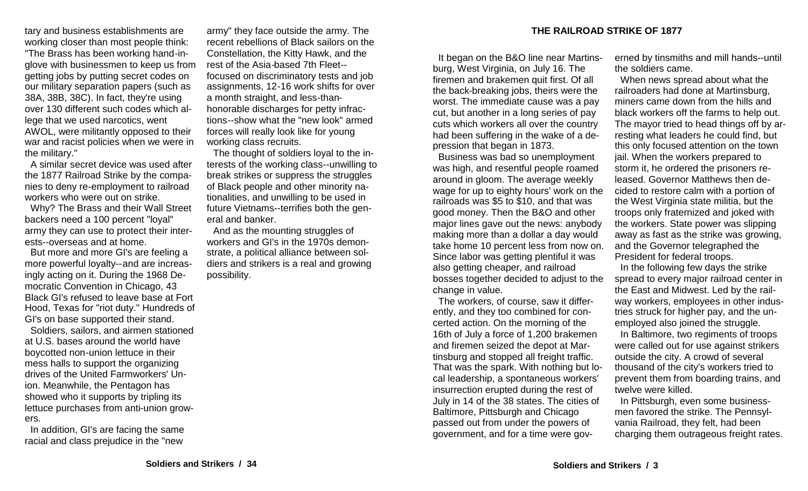tary and business establishments are working closer than most people think: "The Brass has been working hand-inglove with businessmen to keep us from getting jobs by putting secret codes on our military separation papers (such as 38A, 38B, 38C). In fact, they're using over 130 different such codes which allege that we used narcotics, went AWOL, were militantly opposed to their war and racist policies when we were in the military."

A similar secret device was used after the 1877 Railroad Strike by the companies to deny re-employment to railroad workers who were out on strike.

Why? The Brass and their Wall Street backers need a 100 percent "loyal" army they can use to protect their interests--overseas and at home.

But more and more GI's are feeling a more powerful loyalty--and are increasingly acting on it. During the 1968 Democratic Convention in Chicago, 43 Black GI's refused to leave base at Fort Hood, Texas for "riot duty." Hundreds of GI's on base supported their stand.

Soldiers, sailors, and airmen stationed at U.S. bases around the world have boycotted non-union lettuce in their mess halls to support the organizing drives of the United Farmworkers' Union. Meanwhile, the Pentagon has showed who it supports by tripling its lettuce purchases from anti-union growers.

In addition, GI's are facing the same racial and class prejudice in the "new

army" they face outside the army. The recent rebellions of Black sailors on the Constellation, the Kitty Hawk, and the rest of the Asia-based 7th Fleet- focused on discriminatory tests and job assignments, 12-16 work shifts for over a month straight, and less-thanhonorable discharges for petty infractions--show what the "new look" armed forces will really look like for young working class recruits.

The thought of soldiers loyal to the interests of the working class--unwilling to break strikes or suppress the struggles of Black people and other minority nationalities, and unwilling to be used in future Vietnams--terrifies both the general and banker.

And as the mounting struggles of workers and GI's in the 1970s demonstrate, a political alliance between soldiers and strikers is a real and growing possibility.

It began on the B&O line near Martinsburg, West Virginia, on July 16. The firemen and brakemen quit first. Of all the back-breaking jobs, theirs were the worst. The immediate cause was a pay cut, but another in a long series of pay cuts which workers all over the country had been suffering in the wake of a depression that began in 1873.

Business was bad so unemployment was high, and resentful people roamed around in gloom. The average weekly wage for up to eighty hours' work on the railroads was \$5 to \$10, and that was good money. Then the B&O and other major lines gave out the news: anybody making more than a dollar a day would take home 10 percent less from now on. Since labor was getting plentiful it was also getting cheaper, and railroad bosses together decided to adjust to the change in value.

The workers, of course, saw it differently, and they too combined for concerted action. On the morning of the 16th of July a force of 1,200 brakemen and firemen seized the depot at Martinsburg and stopped all freight traffic. That was the spark. With nothing but local leadership, a spontaneous workers' insurrection erupted during the rest of July in 14 of the 38 states. The cities of Baltimore, Pittsburgh and Chicago passed out from under the powers of government, and for a time were governed by tinsmiths and mill hands--until the soldiers came.

When news spread about what the railroaders had done at Martinsburg, miners came down from the hills and black workers off the farms to help out. The mayor tried to head things off by arresting what leaders he could find, but this only focused attention on the town jail. When the workers prepared to storm it, he ordered the prisoners released. Governor Matthews then decided to restore calm with a portion of the West Virginia state militia, but the troops only fraternized and joked with the workers. State power was slipping away as fast as the strike was growing, and the Governor telegraphed the President for federal troops.

In the following few days the strike spread to every major railroad center in the East and Midwest. Led by the railway workers, employees in other industries struck for higher pay, and the unemployed also joined the struggle.

In Baltimore, two regiments of troops were called out for use against strikers outside the city. A crowd of several thousand of the city's workers tried to prevent them from boarding trains, and twelve were killed.

In Pittsburgh, even some businessmen favored the strike. The Pennsylvania Railroad, they felt, had been charging them outrageous freight rates.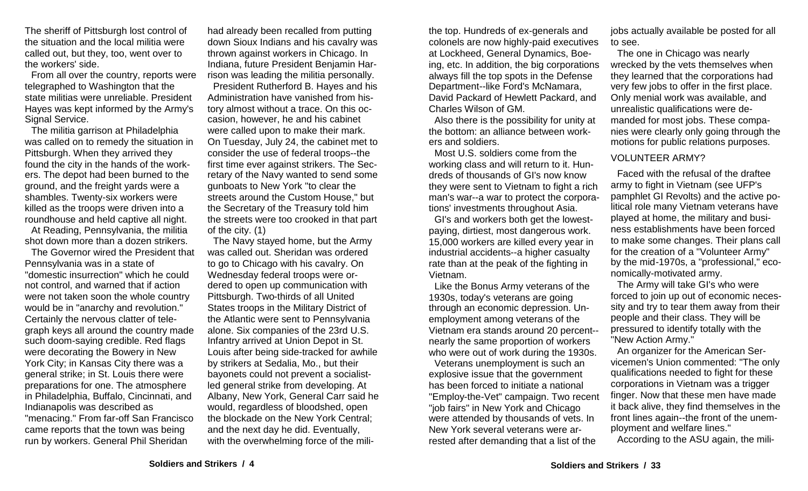The sheriff of Pittsburgh lost control of the situation and the local militia were called out, but they, too, went over to the workers' side.

From all over the country, reports were telegraphed to Washington that the state militias were unreliable. President Hayes was kept informed by the Army's Signal Service.

The militia garrison at Philadelphia was called on to remedy the situation in Pittsburgh. When they arrived they found the city in the hands of the workers. The depot had been burned to the ground, and the freight yards were a shambles. Twenty-six workers were killed as the troops were driven into a roundhouse and held captive all night.

At Reading, Pennsylvania, the militia shot down more than a dozen strikers.

The Governor wired the President that Pennsylvania was in a state of "domestic insurrection" which he could not control, and warned that if action were not taken soon the whole country would be in "anarchy and revolution." Certainly the nervous clatter of telegraph keys all around the country made such doom-saying credible. Red flags were decorating the Bowery in New York City; in Kansas City there was a general strike; in St. Louis there were preparations for one. The atmosphere in Philadelphia, Buffalo, Cincinnati, and Indianapolis was described as "menacing." From far-off San Francisco came reports that the town was being run by workers. General Phil Sheridan

had already been recalled from putting down Sioux Indians and his cavalry was thrown against workers in Chicago. In Indiana, future President Benjamin Harrison was leading the militia personally.

President Rutherford B. Hayes and his Administration have vanished from history almost without a trace. On this occasion, however, he and his cabinet were called upon to make their mark. On Tuesday, July 24, the cabinet met to consider the use of federal troops--the first time ever against strikers. The Secretary of the Navy wanted to send some gunboats to New York "to clear the streets around the Custom House," but the Secretary of the Treasury told him the streets were too crooked in that part of the city. (1)

The Navy stayed home, but the Army was called out. Sheridan was ordered to go to Chicago with his cavalry. On Wednesday federal troops were ordered to open up communication with Pittsburgh. Two-thirds of all United States troops in the Military District of the Atlantic were sent to Pennsylvania alone. Six companies of the 23rd U.S. Infantry arrived at Union Depot in St. Louis after being side-tracked for awhile by strikers at Sedalia, Mo., but their bayonets could not prevent a socialistled general strike from developing. At Albany, New York, General Carr said he would, regardless of bloodshed, open the blockade on the New York Central; and the next day he did. Eventually, with the overwhelming force of the milithe top. Hundreds of ex-generals and colonels are now highly-paid executives at Lockheed, General Dynamics, Boeing, etc. In addition, the big corporations always fill the top spots in the Defense Department--like Ford's McNamara, David Packard of Hewlett Packard, and Charles Wilson of GM.

Also there is the possibility for unity at the bottom: an alliance between workers and soldiers.

Most U.S. soldiers come from the working class and will return to it. Hundreds of thousands of GI's now know they were sent to Vietnam to fight a rich man's war--a war to protect the corporations' investments throughout Asia.

GI's and workers both get the lowestpaying, dirtiest, most dangerous work. 15,000 workers are killed every year in industrial accidents--a higher casualty rate than at the peak of the fighting in Vietnam.

Like the Bonus Army veterans of the 1930s, today's veterans are going through an economic depression. Unemployment among veterans of the Vietnam era stands around 20 percent- nearly the same proportion of workers who were out of work during the 1930s.

Veterans unemployment is such an explosive issue that the government has been forced to initiate a national "Employ-the-Vet" campaign. Two recent "job fairs" in New York and Chicago were attended by thousands of vets. In New York several veterans were arrested after demanding that a list of the

jobs actually available be posted for all to see.

The one in Chicago was nearly wrecked by the vets themselves when they learned that the corporations had very few jobs to offer in the first place. Only menial work was available, and unrealistic qualifications were demanded for most jobs. These companies were clearly only going through the motions for public relations purposes.

## VOLUNTEER ARMY?

Faced with the refusal of the draftee army to fight in Vietnam (see UFP's pamphlet GI Revolts) and the active political role many Vietnam veterans have played at home, the military and business establishments have been forced to make some changes. Their plans call for the creation of a "Volunteer Army" by the mid-1970s, a "professional," economically-motivated army.

The Army will take GI's who were forced to join up out of economic necessity and try to tear them away from their people and their class. They will be pressured to identify totally with the "New Action Army."

An organizer for the American Servicemen's Union commented: "The only qualifications needed to fight for these corporations in Vietnam was a trigger finger. Now that these men have made it back alive, they find themselves in the front lines again--the front of the unemployment and welfare lines."

According to the ASU again, the mili-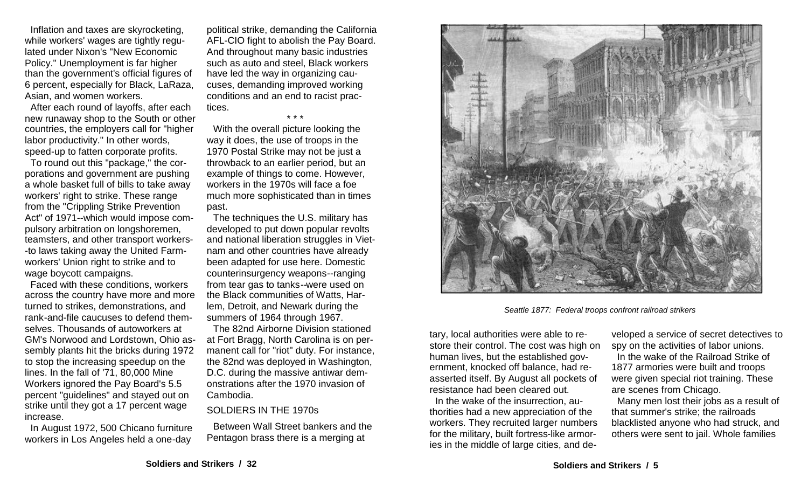Inflation and taxes are skyrocketing, while workers' wages are tightly regulated under Nixon's "New Economic Policy." Unemployment is far higher than the government's official figures of 6 percent, especially for Black, LaRaza, Asian, and women workers.

After each round of layoffs, after each new runaway shop to the South or other countries, the employers call for "higher labor productivity." In other words, speed-up to fatten corporate profits.

To round out this "package," the corporations and government are pushing a whole basket full of bills to take away workers' right to strike. These range from the "Crippling Strike Prevention Act" of 1971--which would impose compulsory arbitration on longshoremen, teamsters, and other transport workers- -to laws taking away the United Farmworkers' Union right to strike and to wage boycott campaigns.

Faced with these conditions, workers across the country have more and more turned to strikes, demonstrations, and rank-and-file caucuses to defend themselves. Thousands of autoworkers at GM's Norwood and Lordstown, Ohio assembly plants hit the bricks during 1972 to stop the increasing speedup on the lines. In the fall of '71, 80,000 Mine Workers ignored the Pay Board's 5.5 percent "guidelines" and stayed out on strike until they got a 17 percent wage increase.

In August 1972, 500 Chicano furniture workers in Los Angeles held a one-day

political strike, demanding the California AFL-CIO fight to abolish the Pay Board. And throughout many basic industries such as auto and steel, Black workers have led the way in organizing caucuses, demanding improved working conditions and an end to racist practices.

\* \* \*

With the overall picture looking the way it does, the use of troops in the 1970 Postal Strike may not be just a throwback to an earlier period, but an example of things to come. However, workers in the 1970s will face a foe much more sophisticated than in times past.

The techniques the U.S. military has developed to put down popular revolts and national liberation struggles in Vietnam and other countries have already been adapted for use here. Domestic counterinsurgency weapons--ranging from tear gas to tanks--were used on the Black communities of Watts, Harlem, Detroit, and Newark during the summers of 1964 through 1967.

The 82nd Airborne Division stationed at Fort Bragg, North Carolina is on permanent call for "riot" duty. For instance, the 82nd was deployed in Washington, D.C. during the massive antiwar demonstrations after the 1970 invasion of Cambodia.

## SOLDIERS IN THE 1970s

Between Wall Street bankers and the Pentagon brass there is a merging at



*Seattle 1877: Federal troops confront railroad strikers*

tary, local authorities were able to restore their control. The cost was high on human lives, but the established government, knocked off balance, had reasserted itself. By August all pockets of resistance had been cleared out.

In the wake of the insurrection, authorities had a new appreciation of the workers. They recruited larger numbers for the military, built fortress-like armories in the middle of large cities, and de-

veloped a service of secret detectives to spy on the activities of labor unions.

In the wake of the Railroad Strike of 1877 armories were built and troops were given special riot training. These are scenes from Chicago.

Many men lost their jobs as a result of that summer's strike; the railroads blacklisted anyone who had struck, and others were sent to jail. Whole families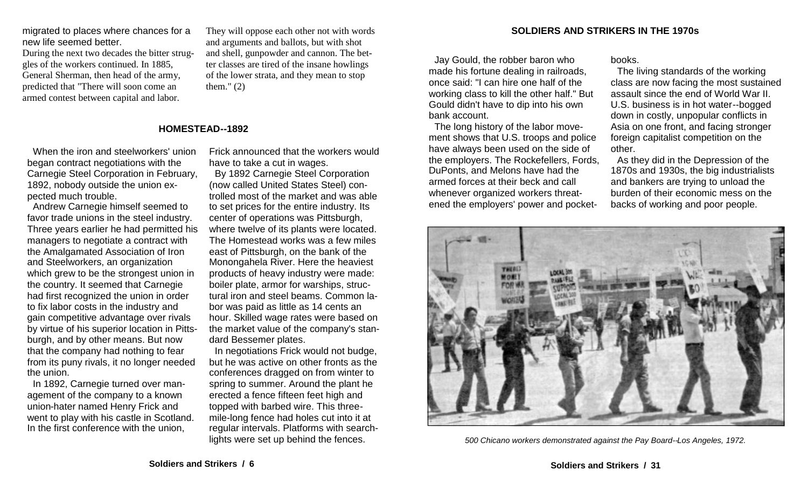migrated to places where chances for a new life seemed better.

During the next two decades the bitter struggles of the workers continued. In 1885, General Sherman, then head of the army, predicted that "There will soon come an armed contest between capital and labor.

They will oppose each other not with words and arguments and ballots, but with shot and shell, gunpowder and cannon. The better classes are tired of the insane howlings of the lower strata, and they mean to stop them." $(2)$ 

#### **HOMESTEAD--1892**

When the iron and steelworkers' union began contract negotiations with the Carnegie Steel Corporation in February, 1892, nobody outside the union expected much trouble.

Andrew Carnegie himself seemed to favor trade unions in the steel industry. Three years earlier he had permitted his managers to negotiate a contract with the Amalgamated Association of Iron and Steelworkers, an organization which grew to be the strongest union in the country. It seemed that Carnegie had first recognized the union in order to fix labor costs in the industry and gain competitive advantage over rivals by virtue of his superior location in Pittsburgh, and by other means. But now that the company had nothing to fear from its puny rivals, it no longer needed the union.

In 1892, Carnegie turned over management of the company to a known union-hater named Henry Frick and went to play with his castle in Scotland. In the first conference with the union,

Frick announced that the workers would have to take a cut in wages.

By 1892 Carnegie Steel Corporation (now called United States Steel) controlled most of the market and was able to set prices for the entire industry. Its center of operations was Pittsburgh, where twelve of its plants were located. The Homestead works was a few miles east of Pittsburgh, on the bank of the Monongahela River. Here the heaviest products of heavy industry were made: boiler plate, armor for warships, structural iron and steel beams. Common labor was paid as little as 14 cents an hour. Skilled wage rates were based on the market value of the company's standard Bessemer plates.

In negotiations Frick would not budge, but he was active on other fronts as the conferences dragged on from winter to spring to summer. Around the plant he erected a fence fifteen feet high and topped with barbed wire. This threemile-long fence had holes cut into it at regular intervals. Platforms with searchlights were set up behind the fences.

Jay Gould, the robber baron who made his fortune dealing in railroads, once said: "I can hire one half of the working class to kill the other half." But Gould didn't have to dip into his own bank account.

The long history of the labor movement shows that U.S. troops and police have always been used on the side of the employers. The Rockefellers, Fords, DuPonts, and Melons have had the armed forces at their beck and call whenever organized workers threatened the employers' power and pocketbooks.

The living standards of the working class are now facing the most sustained assault since the end of World War II. U.S. business is in hot water--bogged down in costly, unpopular conflicts in Asia on one front, and facing stronger foreign capitalist competition on the other.

As they did in the Depression of the 1870s and 1930s, the big industrialists and bankers are trying to unload the burden of their economic mess on the backs of working and poor people.



*500 Chicano workers demonstrated against the Pay Board--Los Angeles, 1972.*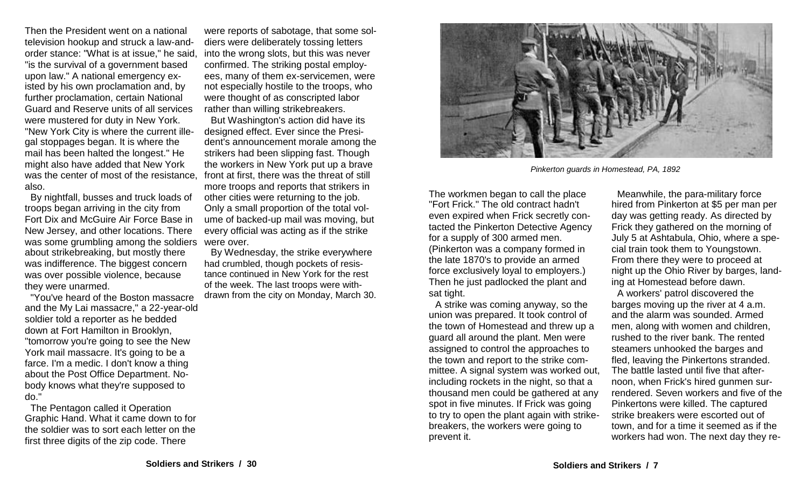Then the President went on a national television hookup and struck a law-andorder stance: "What is at issue," he said, "is the survival of a government based upon law." A national emergency existed by his own proclamation and, by further proclamation, certain National Guard and Reserve units of all services were mustered for duty in New York. "New York City is where the current illegal stoppages began. It is where the mail has been halted the longest." He might also have added that New York was the center of most of the resistance, also.

By nightfall, busses and truck loads of troops began arriving in the city from Fort Dix and McGuire Air Force Base in New Jersey, and other locations. There was some grumbling among the soldiers were over. about strikebreaking, but mostly there was indifference. The biggest concern was over possible violence, because they were unarmed.

"You've heard of the Boston massacre and the My Lai massacre," a 22-year-old soldier told a reporter as he bedded down at Fort Hamilton in Brooklyn, "tomorrow you're going to see the New York mail massacre. It's going to be a farce. I'm a medic. I don't know a thing about the Post Office Department. Nobody knows what they're supposed to do."

The Pentagon called it Operation Graphic Hand. What it came down to for the soldier was to sort each letter on the first three digits of the zip code. There

were reports of sabotage, that some soldiers were deliberately tossing letters into the wrong slots, but this was never confirmed. The striking postal employees, many of them ex-servicemen, were not especially hostile to the troops, who were thought of as conscripted labor rather than willing strikebreakers.

But Washington's action did have its designed effect. Ever since the President's announcement morale among the strikers had been slipping fast. Though the workers in New York put up a brave front at first, there was the threat of still more troops and reports that strikers in other cities were returning to the job. Only a small proportion of the total volume of backed-up mail was moving, but every official was acting as if the strike

By Wednesday, the strike everywhere had crumbled, though pockets of resistance continued in New York for the rest of the week. The last troops were withdrawn from the city on Monday, March 30.



*Pinkerton guards in Homestead, PA, 1892*

The workmen began to call the place "Fort Frick." The old contract hadn't even expired when Frick secretly contacted the Pinkerton Detective Agency for a supply of 300 armed men. (Pinkerton was a company formed in the late 1870's to provide an armed force exclusively loyal to employers.) Then he just padlocked the plant and sat tight.

A strike was coming anyway, so the union was prepared. It took control of the town of Homestead and threw up a guard all around the plant. Men were assigned to control the approaches to the town and report to the strike committee. A signal system was worked out, including rockets in the night, so that a thousand men could be gathered at any spot in five minutes. If Frick was going to try to open the plant again with strikebreakers, the workers were going to prevent it.

Meanwhile, the para-military force hired from Pinkerton at \$5 per man per day was getting ready. As directed by Frick they gathered on the morning of July 5 at Ashtabula, Ohio, where a special train took them to Youngstown. From there they were to proceed at night up the Ohio River by barges, landing at Homestead before dawn. A workers' patrol discovered the barges moving up the river at 4 a.m. and the alarm was sounded. Armed men, along with women and children, rushed to the river bank. The rented steamers unhooked the barges and fled, leaving the Pinkertons stranded. The battle lasted until five that afternoon, when Frick's hired gunmen surrendered. Seven workers and five of the Pinkertons were killed. The captured strike breakers were escorted out of town, and for a time it seemed as if the workers had won. The next day they re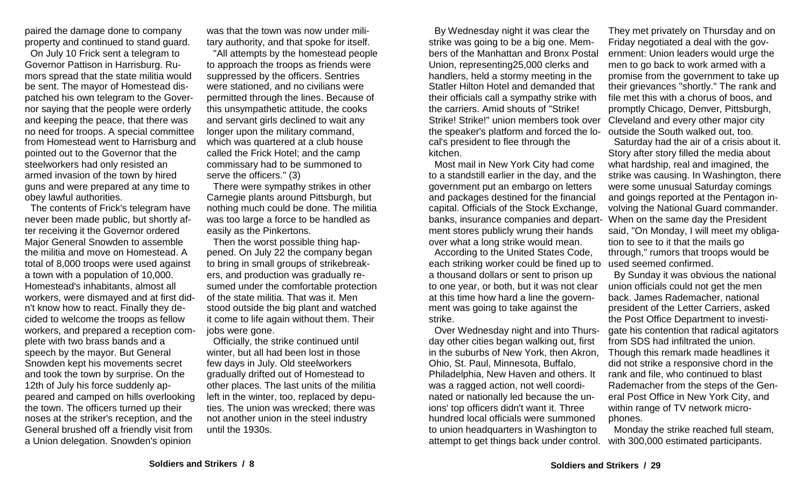paired the damage done to company property and continued to stand guard.

On July 10 Frick sent a telegram to Governor Pattison in Harrisburg. Rumors spread that the state militia would be sent. The mayor of Homestead dispatched his own telegram to the Governor saying that the people were orderly and keeping the peace, that there was no need for troops. A special committee from Homestead went to Harrisburg and pointed out to the Governor that the steelworkers had only resisted an armed invasion of the town by hired guns and were prepared at any time to obey lawful authorities.

The contents of Frick's telegram have never been made public, but shortly after receiving it the Governor ordered Major General Snowden to assemble the militia and move on Homestead. A total of 8,000 troops were used against a town with a population of 10,000. Homestead's inhabitants, almost all workers, were dismayed and at first didn't know how to react. Finally they decided to welcome the troops as fellow workers, and prepared a reception complete with two brass bands and a speech by the mayor. But General Snowden kept his movements secret and took the town by surprise. On the 12th of July his force suddenly appeared and camped on hills overlooking the town. The officers turned up their noses at the striker's reception, and the General brushed off a friendly visit from a Union delegation. Snowden's opinion

was that the town was now under military authority, and that spoke for itself.

"All attempts by the homestead people to approach the troops as friends were suppressed by the officers. Sentries were stationed, and no civilians were permitted through the lines. Because of this unsympathetic attitude, the cooks and servant girls declined to wait any longer upon the military command, which was quartered at a club house called the Frick Hotel; and the camp commissary had to be summoned to serve the officers." (3)

There were sympathy strikes in other Carnegie plants around Pittsburgh, but nothing much could be done. The militia was too large a force to be handled as easily as the Pinkertons.

Then the worst possible thing happened. On July 22 the company began to bring in small groups of strikebreakers, and production was gradually resumed under the comfortable protection of the state militia. That was it. Men stood outside the big plant and watched it come to life again without them. Their jobs were gone.

Officially, the strike continued until winter, but all had been lost in those few days in July. Old steelworkers gradually drifted out of Homestead to other places. The last units of the militia left in the winter, too, replaced by deputies. The union was wrecked; there was not another union in the steel industry until the 1930s.

By Wednesday night it was clear the strike was going to be a big one. Members of the Manhattan and Bronx Postal Union, representing25,000 clerks and handlers, held a stormy meeting in the Statler Hilton Hotel and demanded that their officials call a sympathy strike with the carriers. Amid shouts of "Strike! Strike! Strike!" union members took over the speaker's platform and forced the local's president to flee through the kitchen.

Most mail in New York City had come to a standstill earlier in the day, and the government put an embargo on letters and packages destined for the financial capital. Officials of the Stock Exchange, banks, insurance companies and depart-When on the same day the President ment stores publicly wrung their hands over what a long strike would mean.

According to the United States Code, each striking worker could be fined up to a thousand dollars or sent to prison up to one year, or both, but it was not clear at this time how hard a line the government was going to take against the strike.

Over Wednesday night and into Thursday other cities began walking out, first in the suburbs of New York, then Akron, Ohio, St. Paul, Minnesota, Buffalo, Philadelphia, New Haven and others. It was a ragged action, not well coordinated or nationally led because the unions' top officers didn't want it. Three hundred local officials were summoned to union headquarters in Washington to attempt to get things back under control.

They met privately on Thursday and on Friday negotiated a deal with the government: Union leaders would urge the men to go back to work armed with a promise from the government to take up their grievances "shortly." The rank and file met this with a chorus of boos, and promptly Chicago, Denver, Pittsburgh, Cleveland and every other major city outside the South walked out, too.

Saturday had the air of a crisis about it. Story after story filled the media about what hardship, real and imagined, the strike was causing. In Washington, there were some unusual Saturday comings and goings reported at the Pentagon involving the National Guard commander. said, "On Monday, I will meet my obligation to see to it that the mails go through," rumors that troops would be used seemed confirmed.

By Sunday it was obvious the national union officials could not get the men back. James Rademacher, national president of the Letter Carriers, asked the Post Office Department to investigate his contention that radical agitators from SDS had infiltrated the union. Though this remark made headlines it did not strike a responsive chord in the rank and file, who continued to blast Rademacher from the steps of the General Post Office in New York City, and within range of TV network microphones.

Monday the strike reached full steam, with 300,000 estimated participants.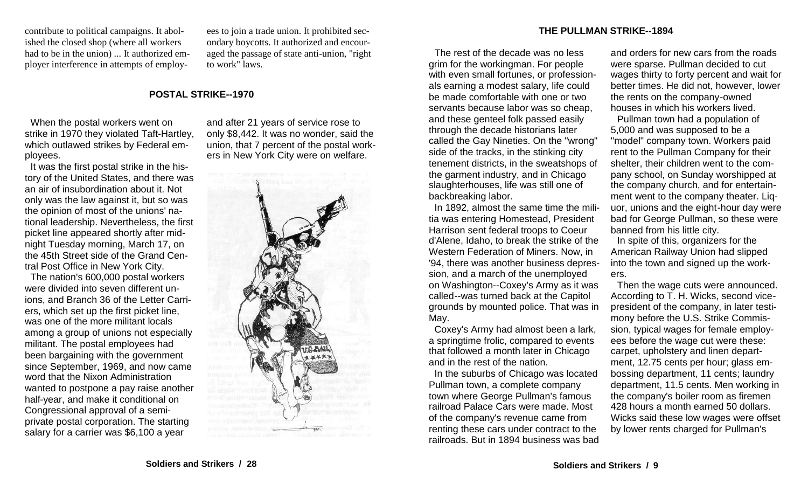contribute to political campaigns. It abolished the closed shop (where all workers had to be in the union) ... It authorized employer interference in attempts of employ-

ees to join a trade union. It prohibited secondary boycotts. It authorized and encouraged the passage of state anti-union, "right to work" laws.

## **POSTAL STRIKE--1970**

When the postal workers went on strike in 1970 they violated Taft-Hartley, which outlawed strikes by Federal employees.

It was the first postal strike in the history of the United States, and there was an air of insubordination about it. Not only was the law against it, but so was the opinion of most of the unions' national leadership. Nevertheless, the first picket line appeared shortly after midnight Tuesday morning, March 17, on the 45th Street side of the Grand Central Post Office in New York City.

The nation's 600,000 postal workers were divided into seven different unions, and Branch 36 of the Letter Carriers, which set up the first picket line, was one of the more militant locals among a group of unions not especially militant. The postal employees had been bargaining with the government since September, 1969, and now came word that the Nixon Administration wanted to postpone a pay raise another half-year, and make it conditional on Congressional approval of a semiprivate postal corporation. The starting salary for a carrier was \$6,100 a year

and after 21 years of service rose to only \$8,442. It was no wonder, said the union, that 7 percent of the postal workers in New York City were on welfare.



## **THE PULLMAN STRIKE--1894**

The rest of the decade was no less grim for the workingman. For people with even small fortunes, or professionals earning a modest salary, life could be made comfortable with one or two servants because labor was so cheap, and these genteel folk passed easily through the decade historians later called the Gay Nineties. On the "wrong" side of the tracks, in the stinking city tenement districts, in the sweatshops of the garment industry, and in Chicago slaughterhouses, life was still one of backbreaking labor.

In 1892, almost the same time the militia was entering Homestead, President Harrison sent federal troops to Coeur d'Alene, Idaho, to break the strike of the Western Federation of Miners. Now, in '94, there was another business depression, and a march of the unemployed on Washington--Coxey's Army as it was called--was turned back at the Capitol grounds by mounted police. That was in May.

Coxey's Army had almost been a lark, a springtime frolic, compared to events that followed a month later in Chicago and in the rest of the nation.

In the suburbs of Chicago was located Pullman town, a complete company town where George Pullman's famous railroad Palace Cars were made. Most of the company's revenue came from renting these cars under contract to the railroads. But in 1894 business was bad

and orders for new cars from the roads were sparse. Pullman decided to cut wages thirty to forty percent and wait for better times. He did not, however, lower the rents on the company-owned houses in which his workers lived.

Pullman town had a population of 5,000 and was supposed to be a "model" company town. Workers paid rent to the Pullman Company for their shelter, their children went to the company school, on Sunday worshipped at the company church, and for entertainment went to the company theater. Liquor, unions and the eight-hour day were bad for George Pullman, so these were banned from his little city.

In spite of this, organizers for the American Railway Union had slipped into the town and signed up the workers.

Then the wage cuts were announced. According to T. H. Wicks, second vicepresident of the company, in later testimony before the U.S. Strike Commission, typical wages for female employees before the wage cut were these: carpet, upholstery and linen department, 12.75 cents per hour; glass embossing department, 11 cents; laundry department, 11.5 cents. Men working in the company's boiler room as firemen 428 hours a month earned 50 dollars. Wicks said these low wages were offset by lower rents charged for Pullman's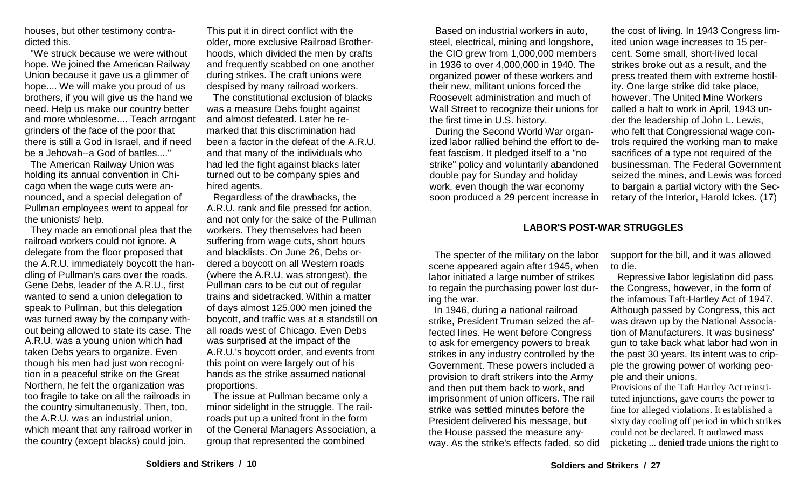houses, but other testimony contradicted this.

"We struck because we were without hope. We joined the American Railway Union because it gave us a glimmer of hope.... We will make you proud of us brothers, if you will give us the hand we need. Help us make our country better and more wholesome.... Teach arrogant grinders of the face of the poor that there is still a God in Israel, and if need be a Jehovah--a God of battles...."

The American Railway Union was holding its annual convention in Chicago when the wage cuts were announced, and a special delegation of Pullman employees went to appeal for the unionists' help.

They made an emotional plea that the railroad workers could not ignore. A delegate from the floor proposed that the A.R.U. immediately boycott the handling of Pullman's cars over the roads. Gene Debs, leader of the A.R.U., first wanted to send a union delegation to speak to Pullman, but this delegation was turned away by the company without being allowed to state its case. The A.R.U. was a young union which had taken Debs years to organize. Even though his men had just won recognition in a peaceful strike on the Great Northern, he felt the organization was too fragile to take on all the railroads in the country simultaneously. Then, too, the A.R.U. was an industrial union, which meant that any railroad worker in the country (except blacks) could join.

This put it in direct conflict with the older, more exclusive Railroad Brotherhoods, which divided the men by crafts and frequently scabbed on one another during strikes. The craft unions were despised by many railroad workers.

The constitutional exclusion of blacks was a measure Debs fought against and almost defeated. Later he remarked that this discrimination had been a factor in the defeat of the A.R.U. and that many of the individuals who had led the fight against blacks later turned out to be company spies and hired agents.

Regardless of the drawbacks, the A.R.U. rank and file pressed for action, and not only for the sake of the Pullman workers. They themselves had been suffering from wage cuts, short hours and blacklists. On June 26, Debs ordered a boycott on all Western roads (where the A.R.U. was strongest), the Pullman cars to be cut out of regular trains and sidetracked. Within a matter of days almost 125,000 men joined the boycott, and traffic was at a standstill on all roads west of Chicago. Even Debs was surprised at the impact of the A.R.U.'s boycott order, and events from this point on were largely out of his hands as the strike assumed national proportions.

The issue at Pullman became only a minor sidelight in the struggle. The railroads put up a united front in the form of the General Managers Association, a group that represented the combined

Based on industrial workers in auto, steel, electrical, mining and longshore, the CIO grew from 1,000,000 members in 1936 to over 4,000,000 in 1940. The organized power of these workers and their new, militant unions forced the Roosevelt administration and much of Wall Street to recognize their unions for the first time in U.S. history.

During the Second World War organized labor rallied behind the effort to defeat fascism. It pledged itself to a "no strike" policy and voluntarily abandoned double pay for Sunday and holiday work, even though the war economy soon produced a 29 percent increase in the cost of living. In 1943 Congress limited union wage increases to 15 percent. Some small, short-lived local strikes broke out as a result, and the press treated them with extreme hostility. One large strike did take place, however. The United Mine Workers called a halt to work in April, 1943 under the leadership of John L. Lewis, who felt that Congressional wage controls required the working man to make sacrifices of a type not required of the businessman. The Federal Government seized the mines, and Lewis was forced to bargain a partial victory with the Secretary of the Interior, Harold Ickes. (17)

## **LABOR'S POST-WAR STRUGGLES**

The specter of the military on the labor scene appeared again after 1945, when labor initiated a large number of strikes to regain the purchasing power lost during the war.

In 1946, during a national railroad strike, President Truman seized the affected lines. He went before Congress to ask for emergency powers to break strikes in any industry controlled by the Government. These powers included a provision to draft strikers into the Army and then put them back to work, and imprisonment of union officers. The rail strike was settled minutes before the President delivered his message, but the House passed the measure anyway. As the strike's effects faded, so did support for the bill, and it was allowed to die.

Repressive labor legislation did pass the Congress, however, in the form of the infamous Taft-Hartley Act of 1947. Although passed by Congress, this act was drawn up by the National Association of Manufacturers. It was business' gun to take back what labor had won in the past 30 years. Its intent was to cripple the growing power of working people and their unions.

Provisions of the Taft Hartley Act reinstituted injunctions, gave courts the power to fine for alleged violations. It established a sixty day cooling off period in which strikes could not be declared. It outlawed mass picketing ... denied trade unions the right to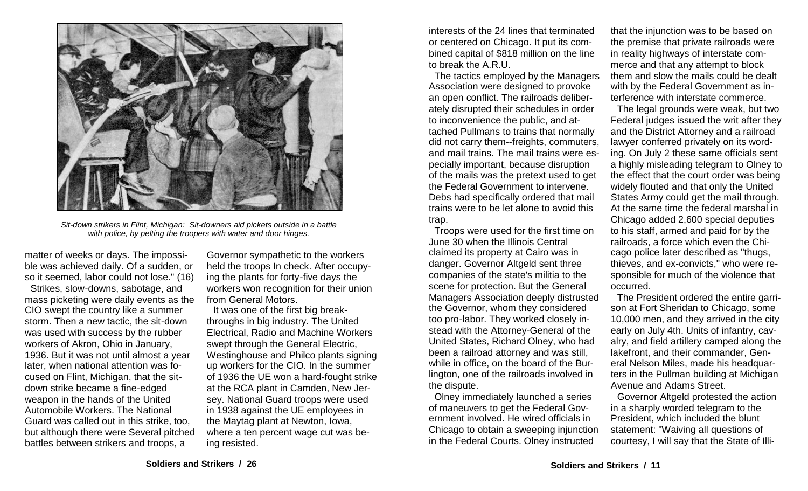

*Sit-down strikers in Flint, Michigan: Sit-downers aid pickets outside in a battle with police, by pelting the troopers with water and door hinges.*

matter of weeks or days. The impossible was achieved daily. Of a sudden, or so it seemed, labor could not lose." (16) Strikes, slow-downs, sabotage, and mass picketing were daily events as the CIO swept the country like a summer storm. Then a new tactic, the sit-down was used with success by the rubber workers of Akron, Ohio in January, 1936. But it was not until almost a year later, when national attention was focused on Flint, Michigan, that the sitdown strike became a fine-edged weapon in the hands of the United Automobile Workers. The National Guard was called out in this strike, too, but although there were Several pitched battles between strikers and troops, a

Governor sympathetic to the workers held the troops In check. After occupying the plants for forty-five days the workers won recognition for their union from General Motors.

It was one of the first big breakthroughs in big industry. The United Electrical, Radio and Machine Workers swept through the General Electric, Westinghouse and Philco plants signing up workers for the CIO. In the summer of 1936 the UE won a hard-fought strike at the RCA plant in Camden, New Jersey. National Guard troops were used in 1938 against the UE employees in the Maytag plant at Newton, Iowa, where a ten percent wage cut was being resisted.

interests of the 24 lines that terminated or centered on Chicago. It put its combined capital of \$818 million on the line to break the A.R.U.

The tactics employed by the Managers Association were designed to provoke an open conflict. The railroads deliberately disrupted their schedules in order to inconvenience the public, and attached Pullmans to trains that normally did not carry them--freights, commuters, and mail trains. The mail trains were especially important, because disruption of the mails was the pretext used to get the Federal Government to intervene. Debs had specifically ordered that mail trains were to be let alone to avoid this trap.

Troops were used for the first time on June 30 when the Illinois Central claimed its property at Cairo was in danger. Governor Altgeld sent three companies of the state's militia to the scene for protection. But the General Managers Association deeply distrusted the Governor, whom they considered too pro-labor. They worked closely instead with the Attorney-General of the United States, Richard Olney, who had been a railroad attorney and was still, while in office, on the board of the Burlington, one of the railroads involved in the dispute.

Olney immediately launched a series of maneuvers to get the Federal Government involved. He wired officials in Chicago to obtain a sweeping injunction in the Federal Courts. Olney instructed

that the injunction was to be based on the premise that private railroads were in reality highways of interstate commerce and that any attempt to block them and slow the mails could be dealt with by the Federal Government as interference with interstate commerce.

The legal grounds were weak, but two Federal judges issued the writ after they and the District Attorney and a railroad lawyer conferred privately on its wording. On July 2 these same officials sent a highly misleading telegram to Olney to the effect that the court order was being widely flouted and that only the United States Army could get the mail through. At the same time the federal marshal in Chicago added 2,600 special deputies to his staff, armed and paid for by the railroads, a force which even the Chicago police later described as "thugs, thieves, and ex-convicts," who were responsible for much of the violence that occurred.

The President ordered the entire garrison at Fort Sheridan to Chicago, some 10,000 men, and they arrived in the city early on July 4th. Units of infantry, cavalry, and field artillery camped along the lakefront, and their commander, General Nelson Miles, made his headquarters in the Pullman building at Michigan Avenue and Adams Street.

Governor Altgeld protested the action in a sharply worded telegram to the President, which included the blunt statement: "Waiving all questions of courtesy, I will say that the State of Illi-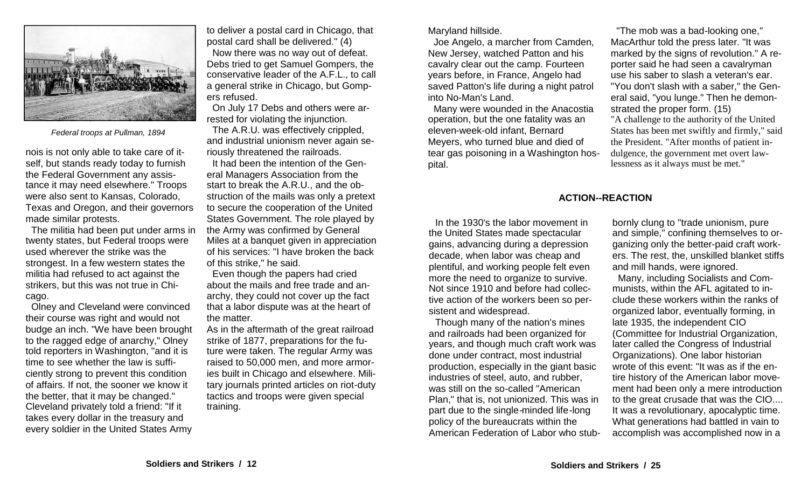

*Federal troops at Pullman, 1894*

nois is not only able to take care of itself, but stands ready today to furnish the Federal Government any assistance it may need elsewhere." Troops were also sent to Kansas, Colorado, Texas and Oregon, and their governors made similar protests.

The militia had been put under arms in twenty states, but Federal troops were used wherever the strike was the strongest. In a few western states the militia had refused to act against the strikers, but this was not true in Chicago.

Olney and Cleveland were convinced their course was right and would not budge an inch. "We have been brought to the ragged edge of anarchy," Olney told reporters in Washington, "and it is time to see whether the law is sufficiently strong to prevent this condition of affairs. If not, the sooner we know it the better, that it may be changed." Cleveland privately told a friend: "If it takes every dollar in the treasury and every soldier in the United States Army

to deliver a postal card in Chicago, that postal card shall be delivered." (4) Now there was no way out of defeat. Debs tried to get Samuel Gompers, the conservative leader of the A.F.L., to call a general strike in Chicago, but Gompers refused.

On July 17 Debs and others were arrested for violating the injunction.

The A.R.U. was effectively crippled, and industrial unionism never again seriously threatened the railroads.

It had been the intention of the General Managers Association from the start to break the A.R.U., and the obstruction of the mails was only a pretext to secure the cooperation of the United States Government. The role played by the Army was confirmed by General Miles at a banquet given in appreciation of his services: "I have broken the back of this strike," he said.

Even though the papers had cried about the mails and free trade and anarchy, they could not cover up the fact that a labor dispute was at the heart of the matter.

As in the aftermath of the great railroad strike of 1877, preparations for the future were taken. The regular Army was raised to 50,000 men, and more armories built in Chicago and elsewhere. Military journals printed articles on riot-duty tactics and troops were given special training.

## Maryland hillside.

Joe Angelo, a marcher from Camden, New Jersey, watched Patton and his cavalry clear out the camp. Fourteen years before, in France, Angelo had saved Patton's life during a night patrol into No-Man's Land.

Many were wounded in the Anacostia operation, but the one fatality was an eleven-week-old infant, Bernard Meyers, who turned blue and died of tear gas poisoning in a Washington hospital.

"The mob was a bad-looking one," MacArthur told the press later. "It was marked by the signs of revolution." A reporter said he had seen a cavalryman use his saber to slash a veteran's ear. "You don't slash with a saber," the General said, "you lunge." Then he demonstrated the proper form. (15) "A challenge to the authority of the United States has been met swiftly and firmly," said the President. "After months of patient indulgence, the government met overt lawlessness as it always must be met."

# **ACTION--REACTION**

In the 1930's the labor movement in the United States made spectacular gains, advancing during a depression decade, when labor was cheap and plentiful, and working people felt even more the need to organize to survive. Not since 1910 and before had collective action of the workers been so persistent and widespread.

Though many of the nation's mines and railroads had been organized for years, and though much craft work was done under contract, most industrial production, especially in the giant basic industries of steel, auto, and rubber, was still on the so-called "American Plan," that is, not unionized. This was in part due to the single-minded life-long policy of the bureaucrats within the American Federation of Labor who stubbornly clung to "trade unionism, pure and simple," confining themselves to organizing only the better-paid craft workers. The rest, the, unskilled blanket stiffs and mill hands, were ignored.

Many, including Socialists and Communists, within the AFL agitated to include these workers within the ranks of organized labor, eventually forming, in late 1935, the independent CIO (Committee for Industrial Organization, later called the Congress of Industrial Organizations). One labor historian wrote of this event: "It was as if the entire history of the American labor movement had been only a mere introduction to the great crusade that was the CIO.... It was a revolutionary, apocalyptic time. What generations had battled in vain to accomplish was accomplished now in a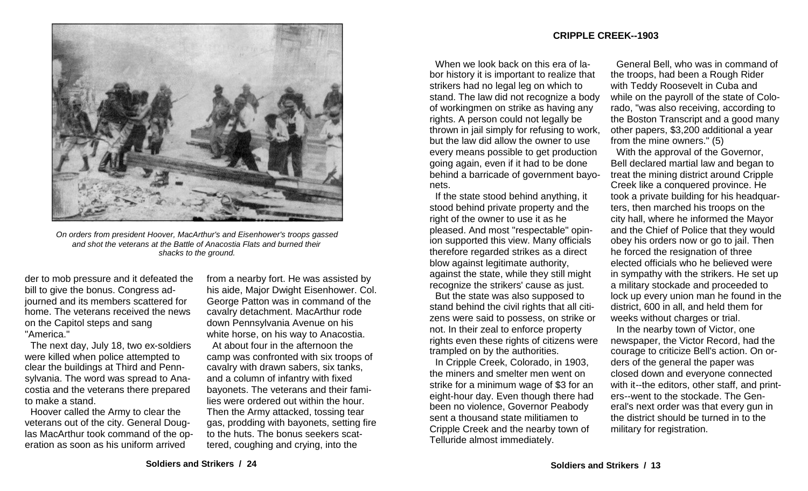

*On orders from president Hoover, MacArthur's and Eisenhower's troops gassed and shot the veterans at the Battle of Anacostia Flats and burned their shacks to the ground.*

der to mob pressure and it defeated the bill to give the bonus. Congress adjourned and its members scattered for home. The veterans received the news on the Capitol steps and sang "America."

The next day, July 18, two ex-soldiers were killed when police attempted to clear the buildings at Third and Pennsylvania. The word was spread to Anacostia and the veterans there prepared to make a stand.

Hoover called the Army to clear the veterans out of the city. General Douglas MacArthur took command of the operation as soon as his uniform arrived

from a nearby fort. He was assisted by his aide, Major Dwight Eisenhower. Col. George Patton was in command of the cavalry detachment. MacArthur rode down Pennsylvania Avenue on his white horse, on his way to Anacostia. At about four in the afternoon the camp was confronted with six troops of cavalry with drawn sabers, six tanks, and a column of infantry with fixed bayonets. The veterans and their families were ordered out within the hour. Then the Army attacked, tossing tear gas, prodding with bayonets, setting fire to the huts. The bonus seekers scattered, coughing and crying, into the

When we look back on this era of labor history it is important to realize that strikers had no legal leg on which to stand. The law did not recognize a body of workingmen on strike as having any rights. A person could not legally be thrown in jail simply for refusing to work, but the law did allow the owner to use every means possible to get production going again, even if it had to be done behind a barricade of government bayonets.

If the state stood behind anything, it stood behind private property and the right of the owner to use it as he pleased. And most "respectable" opinion supported this view. Many officials therefore regarded strikes as a direct blow against legitimate authority, against the state, while they still might recognize the strikers' cause as just. But the state was also supposed to stand behind the civil rights that all citi-

zens were said to possess, on strike or not. In their zeal to enforce property rights even these rights of citizens were trampled on by the authorities.

In Cripple Creek, Colorado, in 1903, the miners and smelter men went on strike for a minimum wage of \$3 for an eight-hour day. Even though there had been no violence, Governor Peabody sent a thousand state militiamen to Cripple Creek and the nearby town of Telluride almost immediately.

General Bell, who was in command of the troops, had been a Rough Rider with Teddy Roosevelt in Cuba and while on the payroll of the state of Colorado, "was also receiving, according to the Boston Transcript and a good many other papers, \$3,200 additional a year from the mine owners." (5)

With the approval of the Governor, Bell declared martial law and began to treat the mining district around Cripple Creek like a conquered province. He took a private building for his headquarters, then marched his troops on the city hall, where he informed the Mayor and the Chief of Police that they would obey his orders now or go to jail. Then he forced the resignation of three elected officials who he believed were in sympathy with the strikers. He set up a military stockade and proceeded to lock up every union man he found in the district, 600 in all, and held them for weeks without charges or trial. In the nearby town of Victor, one

newspaper, the Victor Record, had the courage to criticize Bell's action. On orders of the general the paper was closed down and everyone connected with it--the editors, other staff, and printers--went to the stockade. The General's next order was that every gun in the district should be turned in to the military for registration.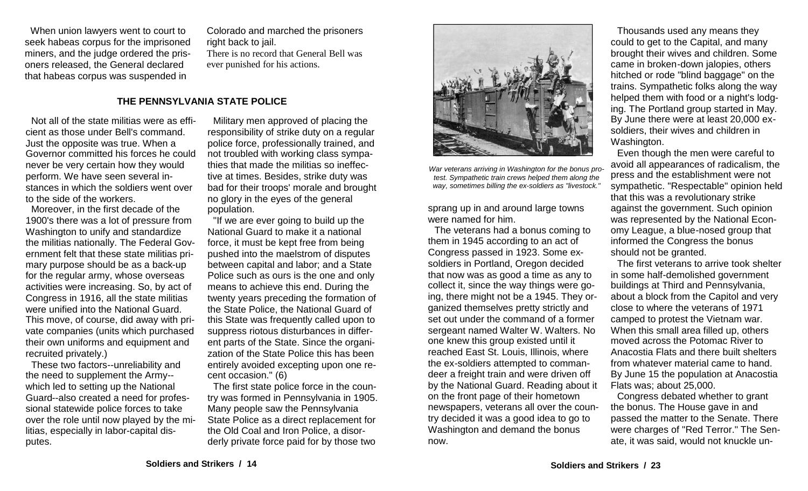When union lawyers went to court to seek habeas corpus for the imprisoned miners, and the judge ordered the prisoners released, the General declared that habeas corpus was suspended in

Colorado and marched the prisoners right back to jail. There is no record that General Bell was ever punished for his actions.

## **THE PENNSYLVANIA STATE POLICE**

Not all of the state militias were as efficient as those under Bell's command. Just the opposite was true. When a Governor committed his forces he could never be very certain how they would perform. We have seen several instances in which the soldiers went over to the side of the workers.

Moreover, in the first decade of the 1900's there was a lot of pressure from Washington to unify and standardize the militias nationally. The Federal Government felt that these state militias primary purpose should be as a back-up for the regular army, whose overseas activities were increasing. So, by act of Congress in 1916, all the state militias were unified into the National Guard. This move, of course, did away with private companies (units which purchased their own uniforms and equipment and recruited privately.)

These two factors--unreliability and the need to supplement the Army- which led to setting up the National Guard--also created a need for professional statewide police forces to take over the role until now played by the militias, especially in labor-capital disputes.

Military men approved of placing the responsibility of strike duty on a regular police force, professionally trained, and not troubled with working class sympathies that made the militias so ineffective at times. Besides, strike duty was bad for their troops' morale and brought no glory in the eyes of the general population.

"If we are ever going to build up the National Guard to make it a national force, it must be kept free from being pushed into the maelstrom of disputes between capital and labor; and a State Police such as ours is the one and only means to achieve this end. During the twenty years preceding the formation of the State Police, the National Guard of this State was frequently called upon to suppress riotous disturbances in different parts of the State. Since the organization of the State Police this has been entirely avoided excepting upon one recent occasion." (6)

The first state police force in the country was formed in Pennsylvania in 1905. Many people saw the Pennsylvania State Police as a direct replacement for the Old Coal and Iron Police, a disorderly private force paid for by those two



*War veterans arriving in Washington for the bonus protest. Sympathetic train crews helped them along the way, sometimes billing the ex-soldiers as "livestock."*

sprang up in and around large towns were named for him.

The veterans had a bonus coming to them in 1945 according to an act of Congress passed in 1923. Some exsoldiers in Portland, Oregon decided that now was as good a time as any to collect it, since the way things were going, there might not be a 1945. They organized themselves pretty strictly and set out under the command of a former sergeant named Walter W. Walters. No one knew this group existed until it reached East St. Louis, Illinois, where the ex-soldiers attempted to commandeer a freight train and were driven off by the National Guard. Reading about it on the front page of their hometown newspapers, veterans all over the country decided it was a good idea to go to Washington and demand the bonus now.

Thousands used any means they could to get to the Capital, and many brought their wives and children. Some came in broken-down jalopies, others hitched or rode "blind baggage" on the trains. Sympathetic folks along the way helped them with food or a night's lodging. The Portland group started in May. By June there were at least 20,000 exsoldiers, their wives and children in Washington.

Even though the men were careful to avoid all appearances of radicalism, the press and the establishment were not sympathetic. "Respectable" opinion held that this was a revolutionary strike against the government. Such opinion was represented by the National Economy League, a blue-nosed group that informed the Congress the bonus should not be granted.

The first veterans to arrive took shelter in some half-demolished government buildings at Third and Pennsylvania, about a block from the Capitol and very close to where the veterans of 1971 camped to protest the Vietnam war. When this small area filled up, others moved across the Potomac River to Anacostia Flats and there built shelters from whatever material came to hand. By June 15 the population at Anacostia Flats was; about 25,000.

Congress debated whether to grant the bonus. The House gave in and passed the matter to the Senate. There were charges of "Red Terror." The Senate, it was said, would not knuckle un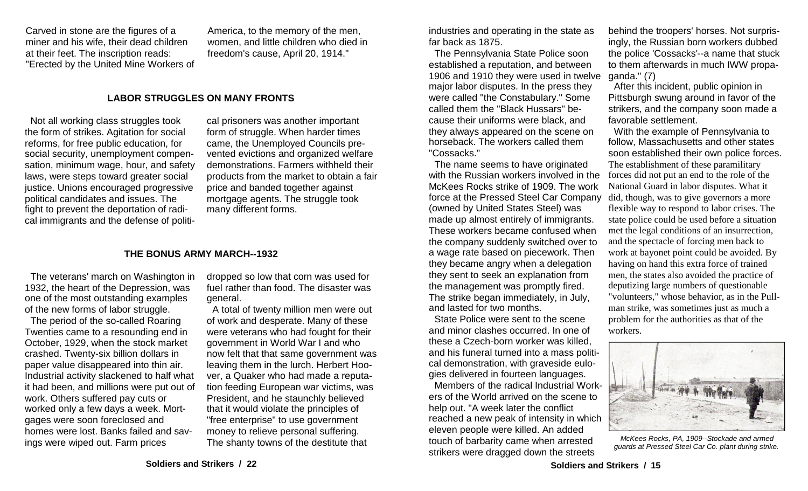Carved in stone are the figures of a miner and his wife, their dead children at their feet. The inscription reads: "Erected by the United Mine Workers of America, to the memory of the men, women, and little children who died in freedom's cause, April 20, 1914."

## **LABOR STRUGGLES ON MANY FRONTS**

Not all working class struggles took the form of strikes. Agitation for social reforms, for free public education, for social security, unemployment compensation, minimum wage, hour, and safety laws, were steps toward greater social justice. Unions encouraged progressive political candidates and issues. The fight to prevent the deportation of radical immigrants and the defense of politi-

cal prisoners was another important form of struggle. When harder times came, the Unemployed Councils prevented evictions and organized welfare demonstrations. Farmers withheld their products from the market to obtain a fair price and banded together against mortgage agents. The struggle took many different forms.

#### **THE BONUS ARMY MARCH--1932**

The veterans' march on Washington in 1932, the heart of the Depression, was one of the most outstanding examples of the new forms of labor struggle.

The period of the so-called Roaring Twenties came to a resounding end in October, 1929, when the stock market crashed. Twenty-six billion dollars in paper value disappeared into thin air. Industrial activity slackened to half what it had been, and millions were put out of work. Others suffered pay cuts or worked only a few days a week. Mortgages were soon foreclosed and homes were lost. Banks failed and savings were wiped out. Farm prices

dropped so low that corn was used for fuel rather than food. The disaster was general.

A total of twenty million men were out of work and desperate. Many of these were veterans who had fought for their government in World War I and who now felt that that same government was leaving them in the lurch. Herbert Hoover, a Quaker who had made a reputation feeding European war victims, was President, and he staunchly believed that it would violate the principles of "free enterprise" to use government money to relieve personal suffering. The shanty towns of the destitute that

industries and operating in the state as far back as 1875.

The Pennsylvania State Police soon established a reputation, and between 1906 and 1910 they were used in twelve major labor disputes. In the press they were called "the Constabulary." Some called them the "Black Hussars" because their uniforms were black, and they always appeared on the scene on horseback. The workers called them "Cossacks."

The name seems to have originated with the Russian workers involved in the McKees Rocks strike of 1909. The work force at the Pressed Steel Car Company (owned by United States Steel) was made up almost entirely of immigrants. These workers became confused when the company suddenly switched over to a wage rate based on piecework. Then they became angry when a delegation they sent to seek an explanation from the management was promptly fired. The strike began immediately, in July, and lasted for two months.

State Police were sent to the scene and minor clashes occurred. In one of these a Czech-born worker was killed, and his funeral turned into a mass political demonstration, with graveside eulogies delivered in fourteen languages.

Members of the radical Industrial Workers of the World arrived on the scene to help out. "A week later the conflict reached a new peak of intensity in which eleven people were killed. An added touch of barbarity came when arrested strikers were dragged down the streets

behind the troopers' horses. Not surprisingly, the Russian born workers dubbed the police 'Cossacks'--a name that stuck to them afterwards in much IWW propaganda." (7)

After this incident, public opinion in Pittsburgh swung around in favor of the strikers, and the company soon made a favorable settlement.

With the example of Pennsylvania to follow, Massachusetts and other states soon established their own police forces. The establishment of these paramilitary forces did not put an end to the role of the National Guard in labor disputes. What it did, though, was to give governors a more flexible way to respond to labor crises. The state police could be used before a situation met the legal conditions of an insurrection, and the spectacle of forcing men back to work at bayonet point could be avoided. By having on hand this extra force of trained men, the states also avoided the practice of deputizing large numbers of questionable "volunteers," whose behavior, as in the Pullman strike, was sometimes just as much a problem for the authorities as that of the workers.



*McKees Rocks, PA, 1909--Stockade and armed guards at Pressed Steel Car Co. plant during strike.*

**Soldiers and Strikers / 15**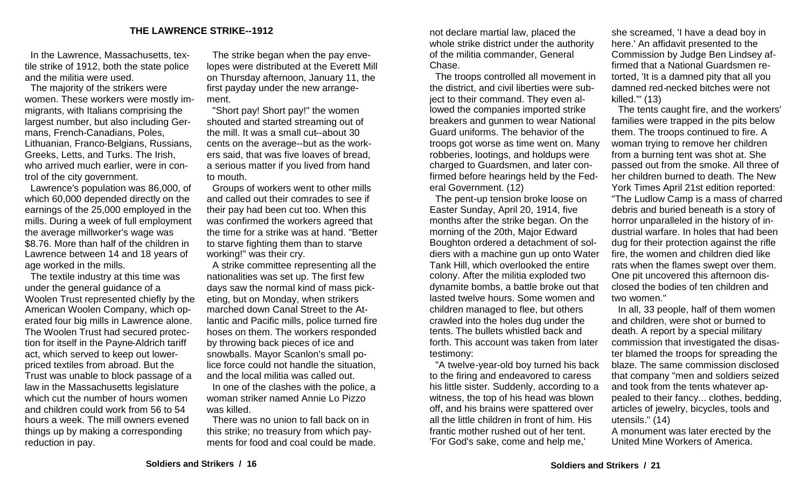In the Lawrence, Massachusetts, textile strike of 1912, both the state police and the militia were used.

The majority of the strikers were women. These workers were mostly immigrants, with Italians comprising the largest number, but also including Germans, French-Canadians, Poles, Lithuanian, Franco-Belgians, Russians, Greeks, Letts, and Turks. The Irish, who arrived much earlier, were in control of the city government.

Lawrence's population was 86,000, of which 60,000 depended directly on the earnings of the 25,000 employed in the mills. During a week of full employment the average millworker's wage was \$8.76. More than half of the children in Lawrence between 14 and 18 years of age worked in the mills.

The textile industry at this time was under the general guidance of a Woolen Trust represented chiefly by the American Woolen Company, which operated four big mills in Lawrence alone. The Woolen Trust had secured protection for itself in the Payne-Aldrich tariff act, which served to keep out lowerpriced textiles from abroad. But the Trust was unable to block passage of a law in the Massachusetts legislature which cut the number of hours women and children could work from 56 to 54 hours a week. The mill owners evened things up by making a corresponding reduction in pay.

The strike began when the pay envelopes were distributed at the Everett Mill on Thursday afternoon, January 11, the first payday under the new arrangement.

"Short pay! Short pay!" the women shouted and started streaming out of the mill. It was a small cut--about 30 cents on the average--but as the workers said, that was five loaves of bread, a serious matter if you lived from hand to mouth.

Groups of workers went to other mills and called out their comrades to see if their pay had been cut too. When this was confirmed the workers agreed that the time for a strike was at hand. "Better to starve fighting them than to starve working!" was their cry.

A strike committee representing all the nationalities was set up. The first few days saw the normal kind of mass picketing, but on Monday, when strikers marched down Canal Street to the Atlantic and Pacific mills, police turned fire hoses on them. The workers responded by throwing back pieces of ice and snowballs. Mayor Scanlon's small police force could not handle the situation, and the local militia was called out.

In one of the clashes with the police, a woman striker named Annie Lo Pizzo was killed.

There was no union to fall back on in this strike; no treasury from which payments for food and coal could be made. not declare martial law, placed the whole strike district under the authority of the militia commander, General Chase.

The troops controlled all movement in the district, and civil liberties were subject to their command. They even allowed the companies imported strike breakers and gunmen to wear National Guard uniforms. The behavior of the troops got worse as time went on. Many robberies, lootings, and holdups were charged to Guardsmen, and later confirmed before hearings held by the Federal Government. (12)

The pent-up tension broke loose on Easter Sunday, April 20, 1914, five months after the strike began. On the morning of the 20th, Major Edward Boughton ordered a detachment of soldiers with a machine gun up onto Water Tank Hill, which overlooked the entire colony. After the militia exploded two dynamite bombs, a battle broke out that lasted twelve hours. Some women and children managed to flee, but others crawled into the holes dug under the tents. The bullets whistled back and forth. This account was taken from later testimony:

"A twelve-year-old boy turned his back to the firing and endeavored to caress his little sister. Suddenly, according to a witness, the top of his head was blown off, and his brains were spattered over all the little children in front of him. His frantic mother rushed out of her tent. 'For God's sake, come and help me,'

she screamed, 'I have a dead boy in here.' An affidavit presented to the Commission by Judge Ben Lindsey affirmed that a National Guardsmen retorted, 'It is a damned pity that all you damned red-necked bitches were not killed.'" (13)

The tents caught fire, and the workers' families were trapped in the pits below them. The troops continued to fire. A woman trying to remove her children from a burning tent was shot at. She passed out from the smoke. All three of her children burned to death. The New York Times April 21st edition reported:

"The Ludlow Camp is a mass of charred debris and buried beneath is a story of horror unparalleled in the history of industrial warfare. In holes that had been dug for their protection against the rifle fire, the women and children died like rats when the flames swept over them. One pit uncovered this afternoon disclosed the bodies of ten children and two women."

In all, 33 people, half of them women and children, were shot or burned to death. A report by a special military commission that investigated the disaster blamed the troops for spreading the blaze. The same commission disclosed that company "men and soldiers seized and took from the tents whatever appealed to their fancy... clothes, bedding, articles of jewelry, bicycles, tools and utensils." (14)

A monument was later erected by the United Mine Workers of America.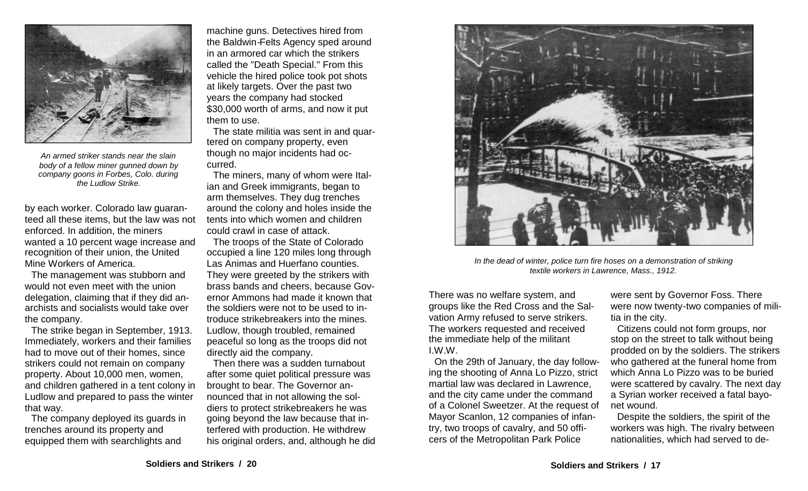

*An armed striker stands near the slain body of a fellow miner gunned down by company goons in Forbes, Colo. during the Ludlow Strike.*

by each worker. Colorado law guaranteed all these items, but the law was not enforced. In addition, the miners wanted a 10 percent wage increase and recognition of their union, the United Mine Workers of America.

The management was stubborn and would not even meet with the union delegation, claiming that if they did anarchists and socialists would take over the company.

The strike began in September, 1913. Immediately, workers and their families had to move out of their homes, since strikers could not remain on company property. About 10,000 men, women, and children gathered in a tent colony in Ludlow and prepared to pass the winter that way.

The company deployed its guards in trenches around its property and equipped them with searchlights and

machine guns. Detectives hired from the Baldwin-Felts Agency sped around in an armored car which the strikers called the "Death Special." From this vehicle the hired police took pot shots at likely targets. Over the past two years the company had stocked \$30,000 worth of arms, and now it put them to use.

The state militia was sent in and quartered on company property, even though no major incidents had occurred.

The miners, many of whom were Italian and Greek immigrants, began to arm themselves. They dug trenches around the colony and holes inside the tents into which women and children could crawl in case of attack.

The troops of the State of Colorado occupied a line 120 miles long through Las Animas and Huerfano counties. They were greeted by the strikers with brass bands and cheers, because Governor Ammons had made it known that the soldiers were not to be used to introduce strikebreakers into the mines. Ludlow, though troubled, remained peaceful so long as the troops did not directly aid the company.

Then there was a sudden turnabout after some quiet political pressure was brought to bear. The Governor announced that in not allowing the soldiers to protect strikebreakers he was going beyond the law because that interfered with production. He withdrew his original orders, and, although he did



*In the dead of winter, police turn fire hoses on a demonstration of striking textile workers in Lawrence, Mass., 1912.*

There was no welfare system, and groups like the Red Cross and the Salvation Army refused to serve strikers. The workers requested and received the immediate help of the militant I.W.W.

On the 29th of January, the day following the shooting of Anna Lo Pizzo, strict martial law was declared in Lawrence, and the city came under the command of a Colonel Sweetzer. At the request of Mayor Scanlon, 12 companies of infantry, two troops of cavalry, and 50 officers of the Metropolitan Park Police

were sent by Governor Foss. There were now twenty-two companies of militia in the city.

Citizens could not form groups, nor stop on the street to talk without being prodded on by the soldiers. The strikers who gathered at the funeral home from which Anna Lo Pizzo was to be buried were scattered by cavalry. The next day a Syrian worker received a fatal bayonet wound.

Despite the soldiers, the spirit of the workers was high. The rivalry between nationalities, which had served to de